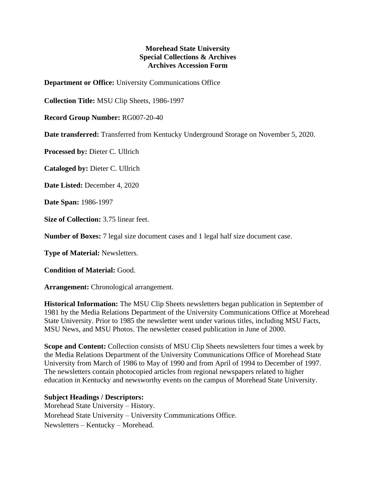## **Morehead State University Special Collections & Archives Archives Accession Form**

**Department or Office:** University Communications Office

**Collection Title:** MSU Clip Sheets, 1986-1997

**Record Group Number:** RG007-20-40

**Date transferred:** Transferred from Kentucky Underground Storage on November 5, 2020.

**Processed by:** Dieter C. Ullrich

**Cataloged by:** Dieter C. Ullrich

**Date Listed:** December 4, 2020

**Date Span:** 1986-1997

**Size of Collection:** 3.75 linear feet.

**Number of Boxes:** 7 legal size document cases and 1 legal half size document case.

**Type of Material:** Newsletters.

**Condition of Material:** Good.

**Arrangement:** Chronological arrangement.

**Historical Information:** The MSU Clip Sheets newsletters began publication in September of 1981 by the Media Relations Department of the University Communications Office at Morehead State University. Prior to 1985 the newsletter went under various titles, including MSU Facts, MSU News, and MSU Photos. The newsletter ceased publication in June of 2000.

**Scope and Content:** Collection consists of MSU Clip Sheets newsletters four times a week by the Media Relations Department of the University Communications Office of Morehead State University from March of 1986 to May of 1990 and from April of 1994 to December of 1997. The newsletters contain photocopied articles from regional newspapers related to higher education in Kentucky and newsworthy events on the campus of Morehead State University.

## **Subject Headings / Descriptors:**

Morehead State University – History. Morehead State University – University Communications Office. Newsletters – Kentucky – Morehead.